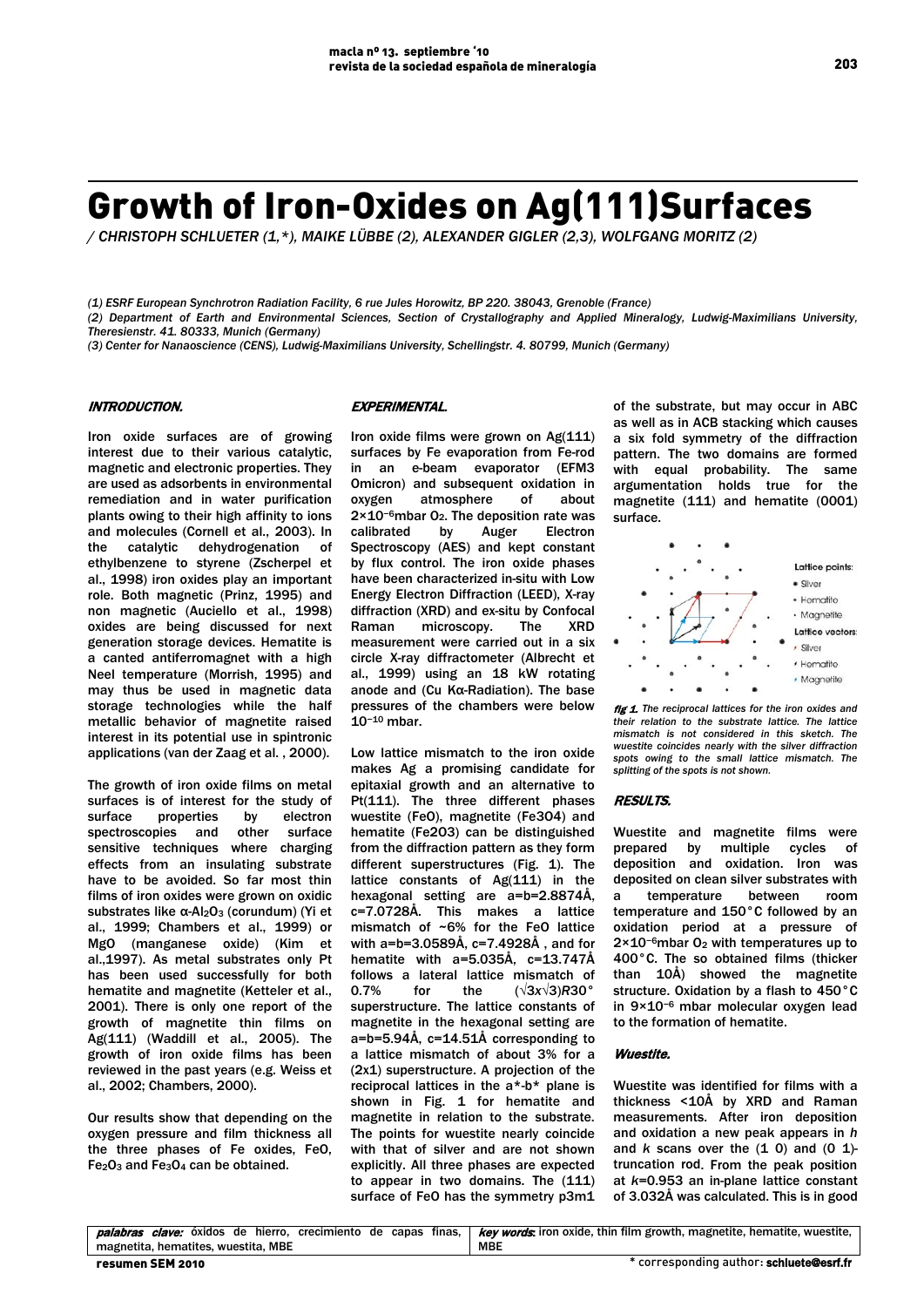# Growth of Iron-Oxides on Ag(111)Surfaces

*/ CHRISTOPH SCHLUETER (1,\*), MAIKE LÜBBE (2), ALEXANDER GIGLER (2,3), WOLFGANG MORITZ (2)*

*(1) ESRF European Synchrotron Radiation Facility, 6 rue Jules Horowitz, BP 220. 38043, Grenoble (France)*

*(2) Department of Earth and Environmental Sciences, Section of Crystallography and Applied Mineralogy, Ludwig-Maximilians University, Theresienstr. 41. 80333, Munich (Germany)*

*(3) Center for Nanaoscience (CENS), Ludwig-Maximilians University, Schellingstr. 4. 80799, Munich (Germany)* 

## INTRODUCTION.

Iron oxide surfaces are of growing interest due to their various catalytic, magnetic and electronic properties. They are used as adsorbents in environmental remediation and in water purification plants owing to their high affinity to ions and molecules (Cornell et al., 2003). In the catalytic dehydrogenation of ethylbenzene to styrene (Zscherpel et al., 1998) iron oxides play an important role. Both magnetic (Prinz, 1995) and non magnetic (Auciello et al., 1998) oxides are being discussed for next generation storage devices. Hematite is a canted antiferromagnet with a high Neel temperature (Morrish, 1995) and may thus be used in magnetic data storage technologies while the half metallic behavior of magnetite raised interest in its potential use in spintronic applications (van der Zaag et al. , 2000).

The growth of iron oxide films on metal surfaces is of interest for the study of surface properties by electron spectroscopies and other surface sensitive techniques where charging effects from an insulating substrate have to be avoided. So far most thin films of iron oxides were grown on oxidic substrates like α-Al<sub>2</sub>O<sub>3</sub> (corundum) (Yi et al., 1999; Chambers et al., 1999) or MgO (manganese oxide) (Kim et al.,1997). As metal substrates only Pt has been used successfully for both hematite and magnetite (Ketteler et al., 2001). There is only one report of the growth of magnetite thin films on Ag(111) (Waddill et al., 2005). The growth of iron oxide films has been reviewed in the past years (e.g. Weiss et al., 2002; Chambers, 2000).

Our results show that depending on the oxygen pressure and film thickness all the three phases of Fe oxides, FeO,  $Fe<sub>2</sub>O<sub>3</sub>$  and  $Fe<sub>3</sub>O<sub>4</sub>$  can be obtained.

## EXPERIMENTAL.

Iron oxide films were grown on Ag(111) surfaces by Fe evaporation from Fe-rod in an e-beam evaporator (EFM3 Omicron) and subsequent oxidation in oxygen atmosphere of about 2×10−6mbar O2. The deposition rate was calibrated by Auger Electron Spectroscopy (AES) and kept constant by flux control. The iron oxide phases have been characterized in-situ with Low Energy Electron Diffraction (LEED), X-ray diffraction (XRD) and ex-situ by Confocal Raman microscopy. The XRD measurement were carried out in a six circle X-ray diffractometer (Albrecht et al., 1999) using an 18 kW rotating anode and (Cu Kα-Radiation). The base pressures of the chambers were below 10−<sup>10</sup> mbar.

Low lattice mismatch to the iron oxide makes Ag a promising candidate for epitaxial growth and an alternative to Pt(111). The three different phases wuestite (FeO), magnetite (Fe3O4) and hematite (Fe2O3) can be distinguished from the diffraction pattern as they form different superstructures (Fig. 1). The lattice constants of Ag(111) in the hexagonal setting are a=b=2.8874Å, c=7.0728Å. This makes a lattice mismatch of ~6% for the FeO lattice with a=b=3.0589Å, c=7.4928Å , and for hematite with a=5.035Å, c=13.747Å follows a lateral lattice mismatch of 0.7% for the (√3*x*√3)*R*30° superstructure. The lattice constants of magnetite in the hexagonal setting are a=b=5.94Å, c=14.51Å corresponding to a lattice mismatch of about 3% for a (2x1) superstructure. A projection of the reciprocal lattices in the a\*-b\* plane is shown in Fig. 1 for hematite and magnetite in relation to the substrate. The points for wuestite nearly coincide with that of silver and are not shown explicitly. All three phases are expected to appear in two domains. The (111) surface of FeO has the symmetry p3m1 of the substrate, but may occur in ABC as well as in ACB stacking which causes a six fold symmetry of the diffraction pattern. The two domains are formed with equal probability. The same argumentation holds true for the magnetite (111) and hematite (0001) surface.



 fig 1. *The reciprocal lattices for the iron oxides and their relation to the substrate lattice. The lattice mismatch is not considered in this sketch. The wuestite coincides nearly with the silver diffraction spots owing to the small lattice mismatch. The splitting of the spots is not shown.*

#### RESULTS.

Wuestite and magnetite films were prepared by multiple cycles of deposition and oxidation. Iron was deposited on clean silver substrates with a temperature between room temperature and 150°C followed by an oxidation period at a pressure of 2×10−6mbar O2 with temperatures up to 400°C. The so obtained films (thicker than 10Å) showed the magnetite structure. Oxidation by a flash to 450°C in 9×10−6 mbar molecular oxygen lead to the formation of hematite.

## Wuestite.

Wuestite was identified for films with a thickness <10Å by XRD and Raman measurements. After iron deposition and oxidation a new peak appears in *h*  and *k* scans over the (1 0) and (0 1) truncation rod. From the peak position at *k*=0.953 an in-plane lattice constant of 3.032Å was calculated. This is in good

| resumen SEM 2010                    | * corresponding author: schluete@esrf.fr                                                                                                           |
|-------------------------------------|----------------------------------------------------------------------------------------------------------------------------------------------------|
| magnetita, hematites, wuestita, MBE | MBE                                                                                                                                                |
|                                     | <b>palabras clave:</b> óxidos de hierro, crecimiento de capas finas, <i>key words</i> iron oxide, thin film growth, magnetite, hematite, wuestite, |